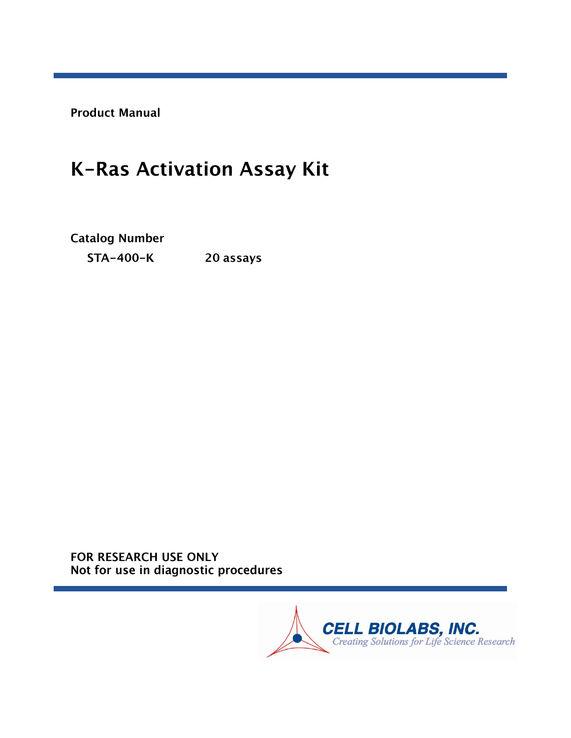**Product Manual** 

# K-Ras Activation Assay Kit

**Catalog Number** 

**STA-400-K** 20 assays

FOR RESEARCH USE ONLY Not for use in diagnostic procedures

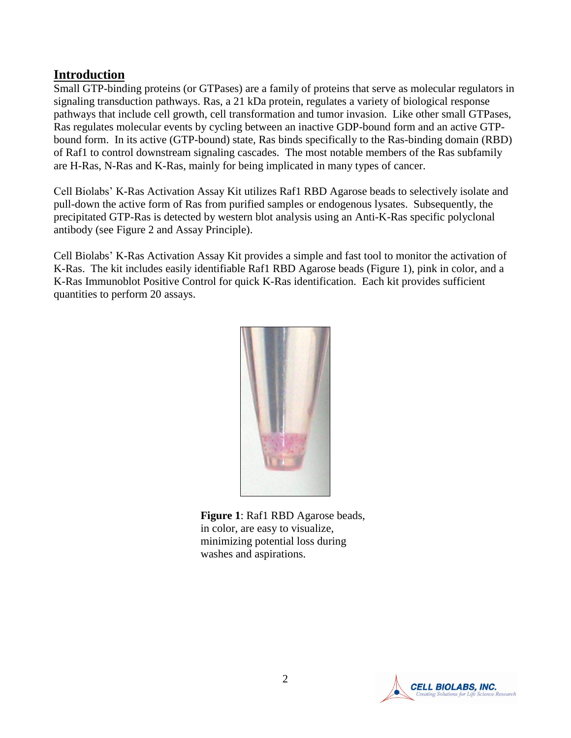### **Introduction**

Small GTP-binding proteins (or GTPases) are a family of proteins that serve as molecular regulators in signaling transduction pathways. Ras, a 21 kDa protein, regulates a variety of biological response pathways that include cell growth, cell transformation and tumor invasion. Like other small GTPases, Ras regulates molecular events by cycling between an inactive GDP-bound form and an active GTPbound form. In its active (GTP-bound) state, Ras binds specifically to the Ras-binding domain (RBD) of Raf1 to control downstream signaling cascades. The most notable members of the Ras subfamily are H-Ras, N-Ras and K-Ras, mainly for being implicated in many types of cancer.

Cell Biolabs' K-Ras Activation Assay Kit utilizes Raf1 RBD Agarose beads to selectively isolate and pull-down the active form of Ras from purified samples or endogenous lysates. Subsequently, the precipitated GTP-Ras is detected by western blot analysis using an Anti-K-Ras specific polyclonal antibody (see Figure 2 and Assay Principle).

Cell Biolabs' K-Ras Activation Assay Kit provides a simple and fast tool to monitor the activation of K-Ras. The kit includes easily identifiable Raf1 RBD Agarose beads (Figure 1), pink in color, and a K-Ras Immunoblot Positive Control for quick K-Ras identification. Each kit provides sufficient quantities to perform 20 assays.



**Figure 1**: Raf1 RBD Agarose beads, in color, are easy to visualize, minimizing potential loss during washes and aspirations.

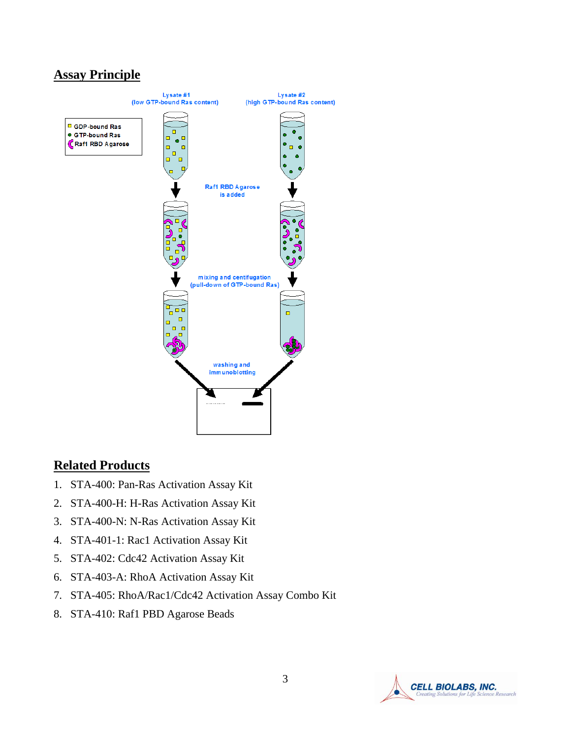## **Assay Principle**



#### **Related Products**

- 1. STA-400: Pan-Ras Activation Assay Kit
- 2. STA-400-H: H-Ras Activation Assay Kit
- 3. STA-400-N: N-Ras Activation Assay Kit
- 4. STA-401-1: Rac1 Activation Assay Kit
- 5. STA-402: Cdc42 Activation Assay Kit
- 6. STA-403-A: RhoA Activation Assay Kit
- 7. STA-405: RhoA/Rac1/Cdc42 Activation Assay Combo Kit
- 8. STA-410: Raf1 PBD Agarose Beads

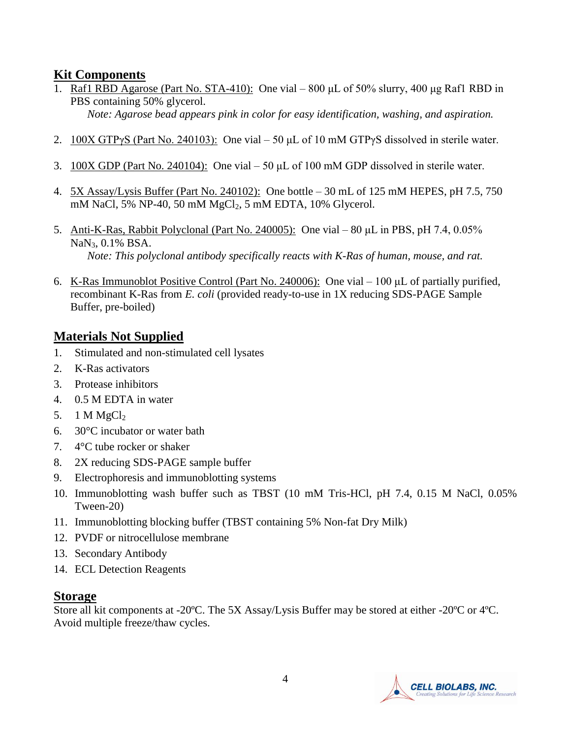## **Kit Components**

- 1. Raf1 RBD Agarose (Part No. STA-410): One vial 800 μL of 50% slurry, 400 μg Raf1 RBD in PBS containing 50% glycerol.
	- *Note: Agarose bead appears pink in color for easy identification, washing, and aspiration.*
- 2.  $100X GTPyS (Part No. 240103)$ : One vial 50 µL of 10 mM GTPyS dissolved in sterile water.
- 3. 100X GDP (Part No. 240104): One vial 50 μL of 100 mM GDP dissolved in sterile water.
- 4. 5X Assay/Lysis Buffer (Part No. 240102): One bottle 30 mL of 125 mM HEPES, pH 7.5, 750 mM NaCl, 5% NP-40, 50 mM MgCl<sub>2</sub>, 5 mM EDTA, 10% Glycerol.
- 5. Anti-K-Ras, Rabbit Polyclonal (Part No. 240005): One vial 80 μL in PBS, pH 7.4, 0.05% NaN<sub>3</sub>, 0.1% BSA. *Note: This polyclonal antibody specifically reacts with K-Ras of human, mouse, and rat.*
- 6. K-Ras Immunoblot Positive Control (Part No. 240006): One vial 100 μL of partially purified, recombinant K-Ras from *E. coli* (provided ready-to-use in 1X reducing SDS-PAGE Sample Buffer, pre-boiled)

## **Materials Not Supplied**

- 1. Stimulated and non-stimulated cell lysates
- 2. K-Ras activators
- 3. Protease inhibitors
- 4. 0.5 M EDTA in water
- 5. 1 M  $MgCl<sub>2</sub>$
- 6. 30°C incubator or water bath
- 7. 4°C tube rocker or shaker
- 8. 2X reducing SDS-PAGE sample buffer
- 9. Electrophoresis and immunoblotting systems
- 10. Immunoblotting wash buffer such as TBST (10 mM Tris-HCl, pH 7.4, 0.15 M NaCl, 0.05% Tween-20)
- 11. Immunoblotting blocking buffer (TBST containing 5% Non-fat Dry Milk)
- 12. PVDF or nitrocellulose membrane
- 13. Secondary Antibody
- 14. ECL Detection Reagents

## **Storage**

Store all kit components at -20ºC. The 5X Assay/Lysis Buffer may be stored at either -20ºC or 4ºC. Avoid multiple freeze/thaw cycles.

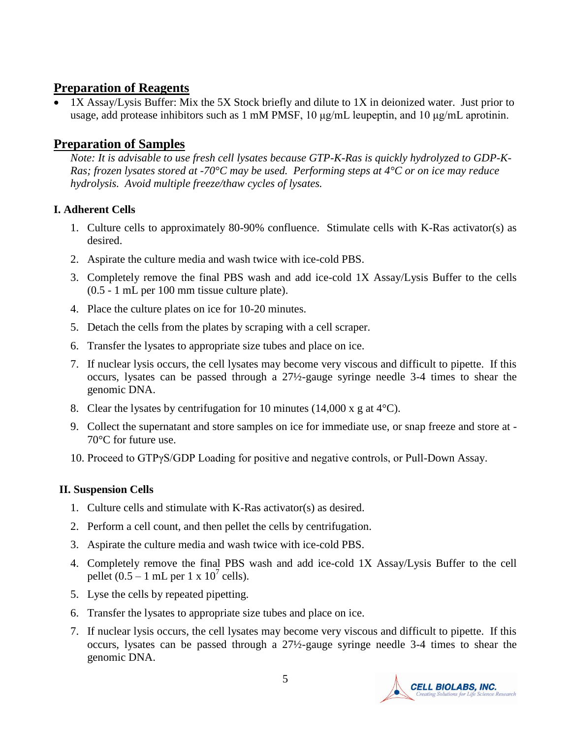## **Preparation of Reagents**

• 1X Assay/Lysis Buffer: Mix the 5X Stock briefly and dilute to 1X in deionized water. Just prior to usage, add protease inhibitors such as 1 mM PMSF, 10 μg/mL leupeptin, and 10 μg/mL aprotinin.

## **Preparation of Samples**

*Note: It is advisable to use fresh cell lysates because GTP-K-Ras is quickly hydrolyzed to GDP-K-Ras; frozen lysates stored at -70°C may be used. Performing steps at 4°C or on ice may reduce hydrolysis. Avoid multiple freeze/thaw cycles of lysates.* 

#### **I. Adherent Cells**

- 1. Culture cells to approximately 80-90% confluence. Stimulate cells with K-Ras activator(s) as desired.
- 2. Aspirate the culture media and wash twice with ice-cold PBS.
- 3. Completely remove the final PBS wash and add ice-cold 1X Assay/Lysis Buffer to the cells (0.5 - 1 mL per 100 mm tissue culture plate).
- 4. Place the culture plates on ice for 10-20 minutes.
- 5. Detach the cells from the plates by scraping with a cell scraper.
- 6. Transfer the lysates to appropriate size tubes and place on ice.
- 7. If nuclear lysis occurs, the cell lysates may become very viscous and difficult to pipette. If this occurs, lysates can be passed through a 27½-gauge syringe needle 3-4 times to shear the genomic DNA.
- 8. Clear the lysates by centrifugation for 10 minutes  $(14,000 \times g)$  at 4<sup>o</sup>C).
- 9. Collect the supernatant and store samples on ice for immediate use, or snap freeze and store at 70°C for future use.
- 10. Proceed to GTPγS/GDP Loading for positive and negative controls, or Pull-Down Assay.

#### **II. Suspension Cells**

- 1. Culture cells and stimulate with K-Ras activator(s) as desired.
- 2. Perform a cell count, and then pellet the cells by centrifugation.
- 3. Aspirate the culture media and wash twice with ice-cold PBS.
- 4. Completely remove the final PBS wash and add ice-cold 1X Assay/Lysis Buffer to the cell pellet  $(0.5 - 1$  mL per 1 x  $10^7$  cells).
- 5. Lyse the cells by repeated pipetting.
- 6. Transfer the lysates to appropriate size tubes and place on ice.
- 7. If nuclear lysis occurs, the cell lysates may become very viscous and difficult to pipette. If this occurs, lysates can be passed through a 27½-gauge syringe needle 3-4 times to shear the genomic DNA.

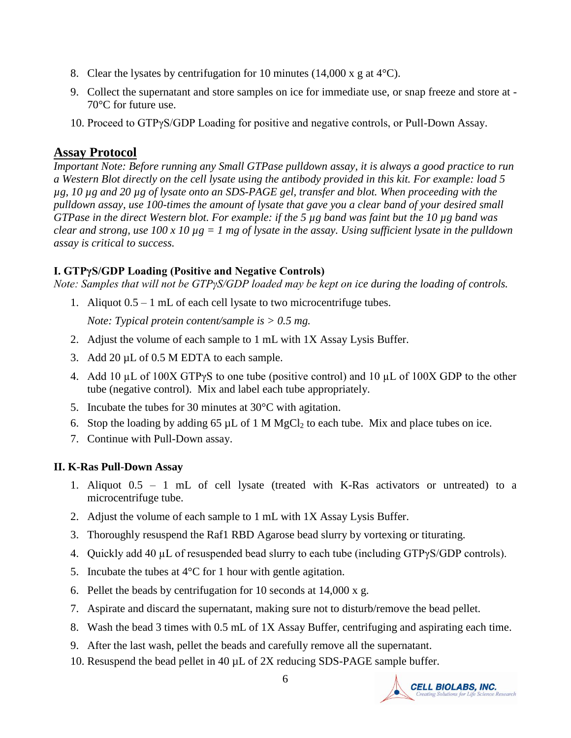- 8. Clear the lysates by centrifugation for 10 minutes (14,000 x g at  $4^{\circ}$ C).
- 9. Collect the supernatant and store samples on ice for immediate use, or snap freeze and store at 70°C for future use.
- 10. Proceed to GTPγS/GDP Loading for positive and negative controls, or Pull-Down Assay.

#### **Assay Protocol**

*Important Note: Before running any Small GTPase pulldown assay, it is always a good practice to run a Western Blot directly on the cell lysate using the antibody provided in this kit. For example: load 5 µg, 10 µg and 20 µg of lysate onto an SDS-PAGE gel, transfer and blot. When proceeding with the pulldown assay, use 100-times the amount of lysate that gave you a clear band of your desired small GTPase in the direct Western blot. For example: if the 5 µg band was faint but the 10 µg band was clear and strong, use 100 x 10 µg = 1 mg of lysate in the assay. Using sufficient lysate in the pulldown assay is critical to success.*

#### **I. GTPγS/GDP Loading (Positive and Negative Controls)**

*Note: Samples that will not be GTPγS/GDP loaded may be kept on ice during the loading of controls.*

1. Aliquot 0.5 – 1 mL of each cell lysate to two microcentrifuge tubes.

*Note: Typical protein content/sample is > 0.5 mg.* 

- 2. Adjust the volume of each sample to 1 mL with 1X Assay Lysis Buffer.
- 3. Add 20  $\mu$ L of 0.5 M EDTA to each sample.
- 4. Add 10 µL of 100X GTPγS to one tube (positive control) and 10 µL of 100X GDP to the other tube (negative control). Mix and label each tube appropriately.
- 5. Incubate the tubes for 30 minutes at 30°C with agitation.
- 6. Stop the loading by adding 65  $\mu$ L of 1 M MgCl<sub>2</sub> to each tube. Mix and place tubes on ice.
- 7. Continue with Pull-Down assay.

#### **II. K-Ras Pull-Down Assay**

- 1. Aliquot 0.5 1 mL of cell lysate (treated with K-Ras activators or untreated) to a microcentrifuge tube.
- 2. Adjust the volume of each sample to 1 mL with 1X Assay Lysis Buffer.
- 3. Thoroughly resuspend the Raf1 RBD Agarose bead slurry by vortexing or titurating.
- 4. Quickly add 40 µL of resuspended bead slurry to each tube (including GTPγS/GDP controls).
- 5. Incubate the tubes at  $4^{\circ}$ C for 1 hour with gentle agitation.
- 6. Pellet the beads by centrifugation for 10 seconds at 14,000 x g.
- 7. Aspirate and discard the supernatant, making sure not to disturb/remove the bead pellet.
- 8. Wash the bead 3 times with 0.5 mL of 1X Assay Buffer, centrifuging and aspirating each time.
- 9. After the last wash, pellet the beads and carefully remove all the supernatant.
- 10. Resuspend the bead pellet in 40 µL of 2X reducing SDS-PAGE sample buffer.

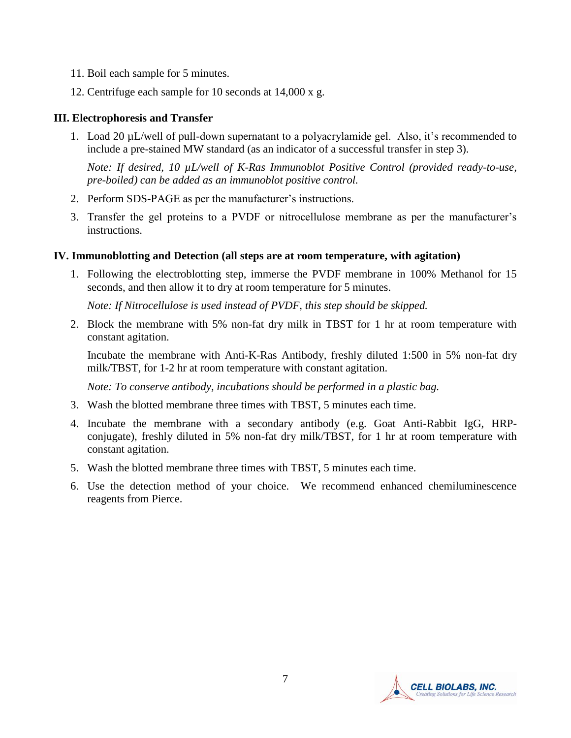- 11. Boil each sample for 5 minutes.
- 12. Centrifuge each sample for 10 seconds at 14,000 x g.

#### **III. Electrophoresis and Transfer**

1. Load 20 µL/well of pull-down supernatant to a polyacrylamide gel. Also, it's recommended to include a pre-stained MW standard (as an indicator of a successful transfer in step 3).

*Note: If desired, 10 µL/well of K-Ras Immunoblot Positive Control (provided ready-to-use, pre-boiled) can be added as an immunoblot positive control.* 

- 2. Perform SDS-PAGE as per the manufacturer's instructions.
- 3. Transfer the gel proteins to a PVDF or nitrocellulose membrane as per the manufacturer's instructions.

#### **IV. Immunoblotting and Detection (all steps are at room temperature, with agitation)**

1. Following the electroblotting step, immerse the PVDF membrane in 100% Methanol for 15 seconds, and then allow it to dry at room temperature for 5 minutes.

*Note: If Nitrocellulose is used instead of PVDF, this step should be skipped.*

2. Block the membrane with 5% non-fat dry milk in TBST for 1 hr at room temperature with constant agitation.

Incubate the membrane with Anti-K-Ras Antibody, freshly diluted 1:500 in 5% non-fat dry milk/TBST, for 1-2 hr at room temperature with constant agitation.

*Note: To conserve antibody, incubations should be performed in a plastic bag.*

- 3. Wash the blotted membrane three times with TBST, 5 minutes each time.
- 4. Incubate the membrane with a secondary antibody (e.g. Goat Anti-Rabbit IgG, HRPconjugate), freshly diluted in 5% non-fat dry milk/TBST, for 1 hr at room temperature with constant agitation.
- 5. Wash the blotted membrane three times with TBST, 5 minutes each time.
- 6. Use the detection method of your choice. We recommend enhanced chemiluminescence reagents from Pierce.

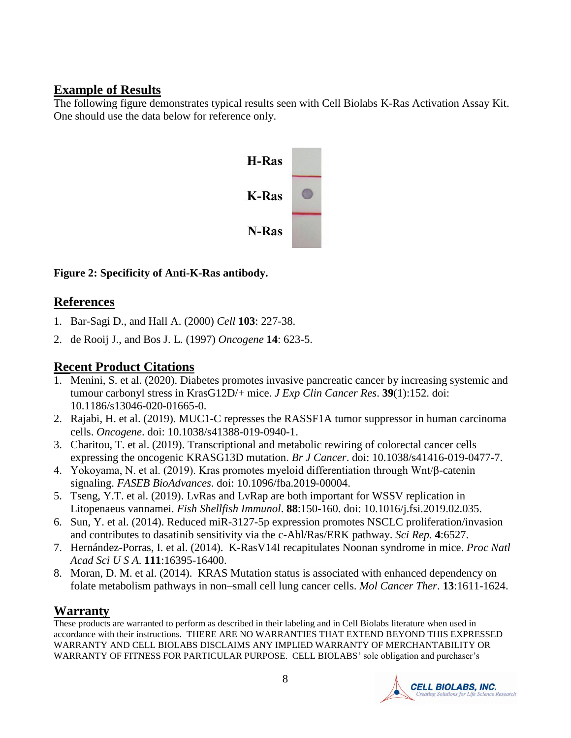## **Example of Results**

The following figure demonstrates typical results seen with Cell Biolabs K-Ras Activation Assay Kit. One should use the data below for reference only.



**Figure 2: Specificity of Anti-K-Ras antibody.**

## **References**

- 1. [Bar-Sagi D.](http://www.ncbi.nlm.nih.gov/entrez/query.fcgi?db=pubmed&cmd=Search&term=%22Bar%2DSagi+D%22%5BAuthor%5D), and [Hall A.](http://www.ncbi.nlm.nih.gov/entrez/query.fcgi?db=pubmed&cmd=Search&term=%22Hall+A%22%5BAuthor%5D) (2000) *Cell* **103**: 227-38.
- 2. [de Rooij J.](http://www.ncbi.nlm.nih.gov/entrez/query.fcgi?db=pubmed&cmd=Search&term=%22de+Rooij+J%22%5BAuthor%5D), and [Bos J. L.](http://www.ncbi.nlm.nih.gov/entrez/query.fcgi?db=pubmed&cmd=Search&term=%22Bos+JL%22%5BAuthor%5D) (1997) *Oncogene* **14**: 623-5.

## **Recent Product Citations**

- 1. Menini, S. et al. (2020). Diabetes promotes invasive pancreatic cancer by increasing systemic and tumour carbonyl stress in KrasG12D/+ mice. *J Exp Clin Cancer Res*. **39**(1):152. doi: 10.1186/s13046-020-01665-0.
- 2. Rajabi, H. et al. (2019). MUC1-C represses the RASSF1A tumor suppressor in human carcinoma cells. *Oncogene*. doi: 10.1038/s41388-019-0940-1.
- 3. Charitou, T. et al. (2019). Transcriptional and metabolic rewiring of colorectal cancer cells expressing the oncogenic KRASG13D mutation. *Br J Cancer*. doi: 10.1038/s41416-019-0477-7.
- 4. Yokoyama, N. et al. (2019). Kras promotes myeloid differentiation through Wnt/β-catenin signaling. *FASEB BioAdvances*. doi: 10.1096/fba.2019-00004.
- 5. Tseng, Y.T. et al. (2019). LvRas and LvRap are both important for WSSV replication in Litopenaeus vannamei. *Fish Shellfish Immunol*. **88**:150-160. doi: 10.1016/j.fsi.2019.02.035.
- 6. Sun, Y. et al. (2014). Reduced miR-3127-5p expression promotes NSCLC proliferation/invasion and contributes to dasatinib sensitivity via the c-Abl/Ras/ERK pathway. *Sci Rep.* **4**:6527.
- 7. Hernández-Porras, I. et al. (2014). K-RasV14I recapitulates Noonan syndrome in mice. *Proc Natl Acad Sci U S A*. **111**:16395-16400.
- 8. Moran, D. M. et al. (2014). KRAS Mutation status is associated with enhanced dependency on folate metabolism pathways in non–small cell lung cancer cells. *Mol Cancer Ther*. **13**:1611-1624.

# **Warranty**

These products are warranted to perform as described in their labeling and in Cell Biolabs literature when used in accordance with their instructions. THERE ARE NO WARRANTIES THAT EXTEND BEYOND THIS EXPRESSED WARRANTY AND CELL BIOLABS DISCLAIMS ANY IMPLIED WARRANTY OF MERCHANTABILITY OR WARRANTY OF FITNESS FOR PARTICULAR PURPOSE. CELL BIOLABS' sole obligation and purchaser's